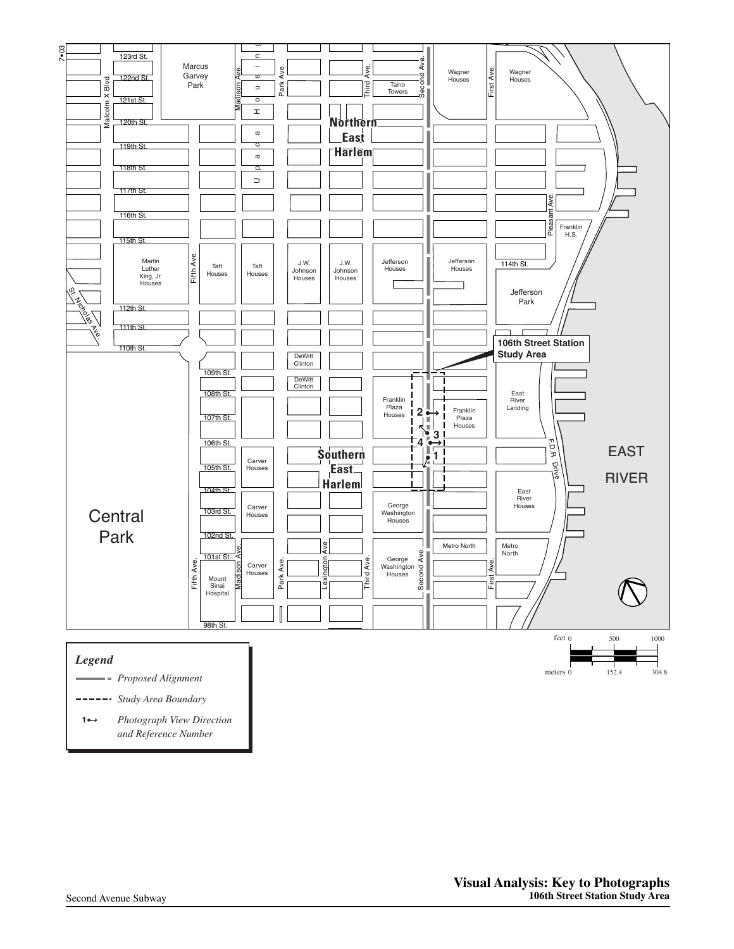

*Proposed Alignment*

*Study Area Boundary*

*Photograph View Direction and Reference Number* **1**